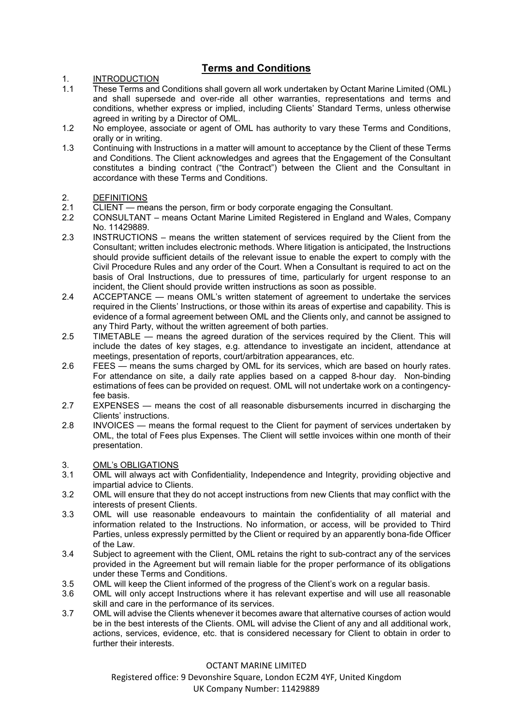## **Terms and Conditions**

1. INTRODUCTION

- 1.1 These Terms and Conditions shall govern all work undertaken by Octant Marine Limited (OML) and shall supersede and over-ride all other warranties, representations and terms and conditions, whether express or implied, including Clients' Standard Terms, unless otherwise agreed in writing by a Director of OML.
- 1.2 No employee, associate or agent of OML has authority to vary these Terms and Conditions, orally or in writing.
- 1.3 Continuing with Instructions in a matter will amount to acceptance by the Client of these Terms and Conditions. The Client acknowledges and agrees that the Engagement of the Consultant constitutes a binding contract ("the Contract") between the Client and the Consultant in accordance with these Terms and Conditions.
- 2. DEFINITIONS<br>2.1 CLIENT me
- 2.1 CLIENT means the person, firm or body corporate engaging the Consultant.
- 2.2 CONSULTANT means Octant Marine Limited Registered in England and Wales, Company No. 11429889.
- 2.3 INSTRUCTIONS means the written statement of services required by the Client from the Consultant; written includes electronic methods. Where litigation is anticipated, the Instructions should provide sufficient details of the relevant issue to enable the expert to comply with the Civil Procedure Rules and any order of the Court. When a Consultant is required to act on the basis of Oral Instructions, due to pressures of time, particularly for urgent response to an incident, the Client should provide written instructions as soon as possible.
- 2.4 ACCEPTANCE means OML's written statement of agreement to undertake the services required in the Clients' Instructions, or those within its areas of expertise and capability. This is evidence of a formal agreement between OML and the Clients only, and cannot be assigned to any Third Party, without the written agreement of both parties.
- 2.5 TIMETABLE means the agreed duration of the services required by the Client. This will include the dates of key stages, e.g. attendance to investigate an incident, attendance at meetings, presentation of reports, court/arbitration appearances, etc.
- 2.6 FEES means the sums charged by OML for its services, which are based on hourly rates. For attendance on site, a daily rate applies based on a capped 8-hour day. Non-binding estimations of fees can be provided on request. OML will not undertake work on a contingencyfee basis.
- 2.7 EXPENSES means the cost of all reasonable disbursements incurred in discharging the Clients' instructions.
- 2.8 INVOICES means the formal request to the Client for payment of services undertaken by OML, the total of Fees plus Expenses. The Client will settle invoices within one month of their presentation.

## 3. OML's OBLIGATIONS

- 3.1 OML will always act with Confidentiality, Independence and Integrity, providing objective and impartial advice to Clients.
- 3.2 OML will ensure that they do not accept instructions from new Clients that may conflict with the interests of present Clients.
- 3.3 OML will use reasonable endeavours to maintain the confidentiality of all material and information related to the Instructions. No information, or access, will be provided to Third Parties, unless expressly permitted by the Client or required by an apparently bona-fide Officer of the Law.
- 3.4 Subject to agreement with the Client, OML retains the right to sub-contract any of the services provided in the Agreement but will remain liable for the proper performance of its obligations under these Terms and Conditions.
- 3.5 OML will keep the Client informed of the progress of the Client's work on a regular basis.
- 3.6 OML will only accept Instructions where it has relevant expertise and will use all reasonable skill and care in the performance of its services.
- 3.7 OML will advise the Clients whenever it becomes aware that alternative courses of action would be in the best interests of the Clients. OML will advise the Client of any and all additional work, actions, services, evidence, etc. that is considered necessary for Client to obtain in order to further their interests.

OCTANT MARINE LIMITED Registered office: 9 Devonshire Square, London EC2M 4YF, United Kingdom UK Company Number: 11429889